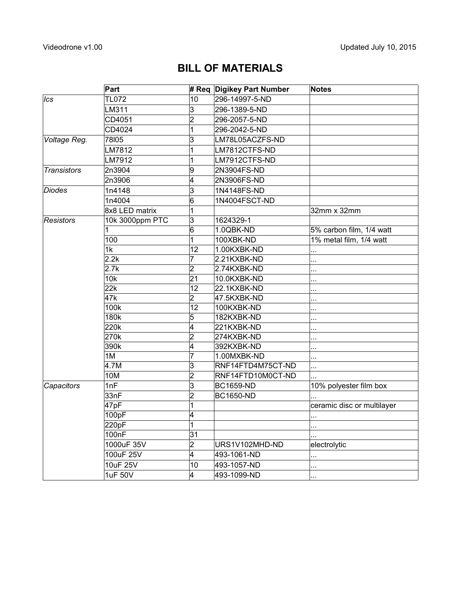## **BILL OF MATERIALS**

|                    | Part            |                 | # Req Digikey Part Number | <b>Notes</b>               |
|--------------------|-----------------|-----------------|---------------------------|----------------------------|
| Ics                | <b>TL072</b>    | 10              | 296-14997-5-ND            |                            |
|                    | LM311           | 3               | 296-1389-5-ND             |                            |
|                    | CD4051          | $\overline{2}$  | 296-2057-5-ND             |                            |
|                    | CD4024          | 1               | 296-2042-5-ND             |                            |
| Voltage Reg.       | 78105           | 3               | LM78L05ACZFS-ND           |                            |
|                    | LM7812          | 1               | LM7812CTFS-ND             |                            |
|                    | LM7912          | 1               | LM7912CTFS-ND             |                            |
| <b>Transistors</b> | 2n3904          | 9               | 2N3904FS-ND               |                            |
|                    | 2n3906          | 4               | 2N3906FS-ND               |                            |
| Diodes             | 1n4148          | 3               | 1N4148FS-ND               |                            |
|                    | 1n4004          | 6               | 1N4004FSCT-ND             |                            |
|                    | 8x8 LED matrix  | 1               |                           | 32mm x 32mm                |
| Resistors          | 10k 3000ppm PTC | $\overline{3}$  | 1624329-1                 |                            |
|                    |                 | $\overline{6}$  | 1.0QBK-ND                 | 5% carbon film, 1/4 watt   |
|                    | 100             | 1               | 100XBK-ND                 | 1% metal film, 1/4 watt    |
|                    | 1k              | 12              | 1.00KXBK-ND               |                            |
|                    | 2.2k            | 7               | 2.21KXBK-ND               | .                          |
|                    | 2.7k            | $\overline{2}$  | 2.74KXBK-ND               | .                          |
|                    | 10k             | 21              | 10.0KXBK-ND               | .                          |
|                    | 22k             | $\overline{12}$ | 22.1KXBK-ND               | .                          |
|                    | 47k             | $\overline{2}$  | 47.5KXBK-ND               | .                          |
|                    | 100k            | 12              | 100KXBK-ND                | .                          |
|                    | 180k            | 5               | 182KXBK-ND                | .                          |
|                    | 220k            | 4               | 221KXBK-ND                |                            |
|                    | 270k            | $\overline{2}$  | 274KXBK-ND                | .                          |
|                    | 390k            | 4               | 392KXBK-ND                | .                          |
|                    | 1 <sub>M</sub>  | $\overline{7}$  | 1.00MXBK-ND               |                            |
|                    | 4.7M            | 3               | RNF14FTD4M75CT-ND         | .                          |
|                    | <b>10M</b>      | $\overline{2}$  | RNF14FTD10M0CT-ND         |                            |
| Capacitors         | 1nF             | 3               | <b>BC1659-ND</b>          | 10% polyester film box     |
|                    | 33nF            | $\overline{2}$  | <b>BC1650-ND</b>          |                            |
|                    | 47pF            | 1               |                           | ceramic disc or multilayer |
|                    | 100pF           | 4               |                           | .                          |
|                    | 220pF           | 1               |                           |                            |
|                    | 100nF           | 31              |                           |                            |
|                    | 1000uF 35V      | 2               | URS1V102MHD-ND            | electrolytic               |
|                    | 100uF 25V       | 4               | 493-1061-ND               | .                          |
|                    | 10uF 25V        | 10              | 493-1057-ND               |                            |
|                    | 1uF 50V         | 4               | 493-1099-ND               | $\ddotsc$                  |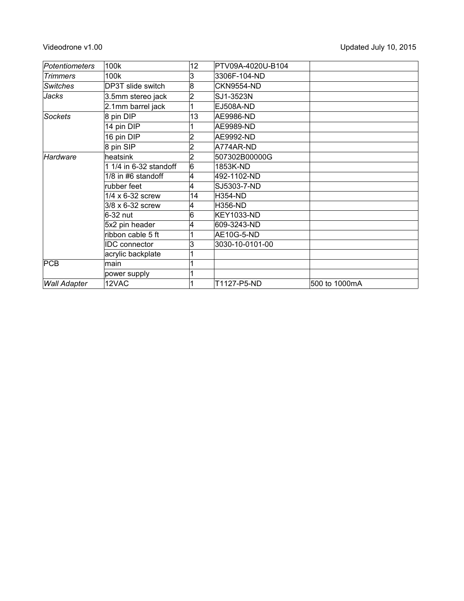| Potentiometers      | 100k                   | 12 | PTV09A-4020U-B104 |               |
|---------------------|------------------------|----|-------------------|---------------|
| <b>Trimmers</b>     | 100k                   | 3  | 3306F-104-ND      |               |
| <b>Switches</b>     | DP3T slide switch      | 8  | <b>CKN9554-ND</b> |               |
| Jacks               | 3.5mm stereo jack      | 2  | SJ1-3523N         |               |
|                     | 2.1mm barrel jack      |    | EJ508A-ND         |               |
| Sockets             | 8 pin DIP              | 13 | AE9986-ND         |               |
|                     | 14 pin DIP             |    | AE9989-ND         |               |
|                     | 16 pin DIP             |    | AE9992-ND         |               |
|                     | 8 pin SIP              |    | A774AR-ND         |               |
| Hardware            | heatsink               | 2  | 507302B00000G     |               |
|                     | 1 1/4 in 6-32 standoff | 6  | 1853K-ND          |               |
|                     | 1/8 in #6 standoff     | 4  | 492-1102-ND       |               |
|                     | rubber feet            | 4  | SJ5303-7-ND       |               |
|                     | 1/4 x 6-32 screw       | 14 | <b>H354-ND</b>    |               |
|                     | 3/8 x 6-32 screw       | 4  | <b>H356-ND</b>    |               |
|                     | 6-32 nut               | 6  | KEY1033-ND        |               |
|                     | 5x2 pin header         | 4  | 609-3243-ND       |               |
|                     | ribbon cable 5 ft      |    | AE10G-5-ND        |               |
|                     | <b>IDC</b> connector   | 3  | 3030-10-0101-00   |               |
|                     | acrylic backplate      |    |                   |               |
| PCB                 | main                   |    |                   |               |
|                     | power supply           |    |                   |               |
| <b>Wall Adapter</b> | 12VAC                  |    | T1127-P5-ND       | 500 to 1000mA |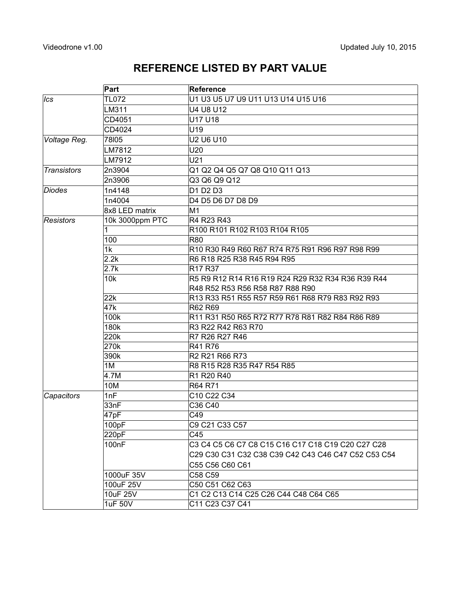### **REFERENCE LISTED BY PART VALUE**

|                    | Part                  | <b>Reference</b>                                               |  |  |
|--------------------|-----------------------|----------------------------------------------------------------|--|--|
| Ics                | <b>TL072</b>          | U1 U3 U5 U7 U9 U11 U13 U14 U15 U16                             |  |  |
|                    | LM311                 | U4 U8 U12                                                      |  |  |
|                    | CD4051                | U17 U18                                                        |  |  |
|                    | CD4024                | U19                                                            |  |  |
| Voltage Reg.       | 78105                 | U2 U6 U10                                                      |  |  |
|                    | LM7812                | U20                                                            |  |  |
|                    | LM7912                | U21                                                            |  |  |
| <b>Transistors</b> | 2n3904                | Q1 Q2 Q4 Q5 Q7 Q8 Q10 Q11 Q13                                  |  |  |
|                    | 2n3906                | Q3 Q6 Q9 Q12                                                   |  |  |
| Diodes             | 1n4148                | D1 D2 D3                                                       |  |  |
|                    | 1n4004                | D4 D5 D6 D7 D8 D9                                              |  |  |
|                    | 8x8 LED matrix        | M <sub>1</sub>                                                 |  |  |
| Resistors          | 10k 3000ppm PTC       | R4 R23 R43                                                     |  |  |
|                    |                       | R100 R101 R102 R103 R104 R105                                  |  |  |
|                    | 100                   | R80                                                            |  |  |
|                    | 1k                    | R10 R30 R49 R60 R67 R74 R75 R91 R96 R97 R98 R99                |  |  |
|                    | 2.2k                  | R6 R18 R25 R38 R45 R94 R95                                     |  |  |
|                    | 2.7k                  | R <sub>17</sub> R <sub>37</sub>                                |  |  |
|                    | 10k                   | R5 R9 R12 R14 R16 R19 R24 R29 R32 R34 R36 R39 R44              |  |  |
|                    |                       | R48 R52 R53 R56 R58 R87 R88 R90                                |  |  |
|                    | 22k                   | R13 R33 R51 R55 R57 R59 R61 R68 R79 R83 R92 R93                |  |  |
|                    | 47k                   | R62 R69                                                        |  |  |
|                    | 100k                  | R11 R31 R50 R65 R72 R77 R78 R81 R82 R84 R86 R89                |  |  |
|                    | 180k                  | R3 R22 R42 R63 R70                                             |  |  |
|                    | 220k                  | R7 R26 R27 R46                                                 |  |  |
|                    | 270k                  | R41 R76                                                        |  |  |
|                    | 390k                  | R <sub>2</sub> R <sub>21</sub> R <sub>66</sub> R <sub>73</sub> |  |  |
|                    | 1M                    | R8 R15 R28 R35 R47 R54 R85                                     |  |  |
|                    | 4.7M                  | R1 R20 R40                                                     |  |  |
|                    | 10M                   | R64 R71                                                        |  |  |
| Capacitors         | 1 <sub>nF</sub>       | C10 C22 C34                                                    |  |  |
|                    | 33nF                  | C36 C40                                                        |  |  |
|                    | 47pF                  | C49                                                            |  |  |
|                    | 100pF                 | C9 C21 C33 C57                                                 |  |  |
|                    | 220pF                 | C45                                                            |  |  |
|                    | 100nF                 | C3 C4 C5 C6 C7 C8 C15 C16 C17 C18 C19 C20 C27 C28              |  |  |
|                    |                       | C29 C30 C31 C32 C38 C39 C42 C43 C46 C47 C52 C53 C54            |  |  |
|                    |                       | C55 C56 C60 C61                                                |  |  |
|                    | 1000uF 35V            | C58 C59                                                        |  |  |
|                    | 100uF 25V             | C50 C51 C62 C63                                                |  |  |
|                    | 10uF 25V              | C1 C2 C13 C14 C25 C26 C44 C48 C64 C65                          |  |  |
|                    | $\overline{1}$ uF 50V | C11 C23 C37 C41                                                |  |  |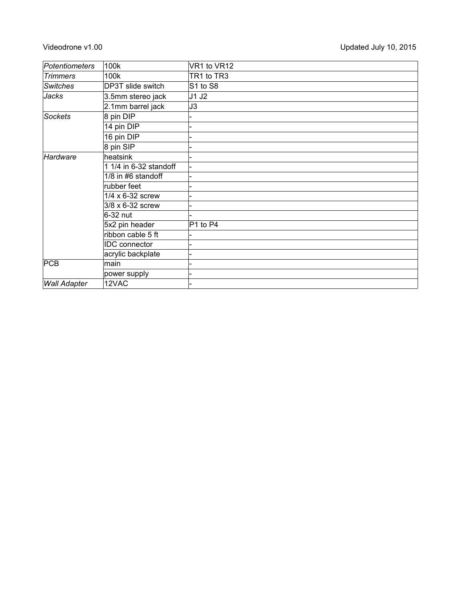| Potentiometers      | 100k                   | VR1 to VR12 |
|---------------------|------------------------|-------------|
| <b>Trimmers</b>     | 100k                   | TR1 to TR3  |
| <b>Switches</b>     | DP3T slide switch      | S1 to S8    |
| Jacks               | 3.5mm stereo jack      | J1 J2       |
|                     | 2.1mm barrel jack      | J3          |
| <b>Sockets</b>      | 8 pin DIP              |             |
|                     | 14 pin DIP             |             |
|                     | 16 pin DIP             |             |
|                     | 8 pin SIP              |             |
| Hardware            | heatsink               |             |
|                     | 1 1/4 in 6-32 standoff |             |
|                     | 1/8 in #6 standoff     |             |
|                     | rubber feet            |             |
|                     | 1/4 x 6-32 screw       |             |
|                     | 3/8 x 6-32 screw       |             |
|                     | 6-32 nut               |             |
|                     | 5x2 pin header         | P1 to P4    |
|                     | ribbon cable 5 ft      |             |
|                     | <b>IDC</b> connector   |             |
|                     | acrylic backplate      |             |
| PCB                 | main                   |             |
|                     | power supply           |             |
| <b>Wall Adapter</b> | 12VAC                  |             |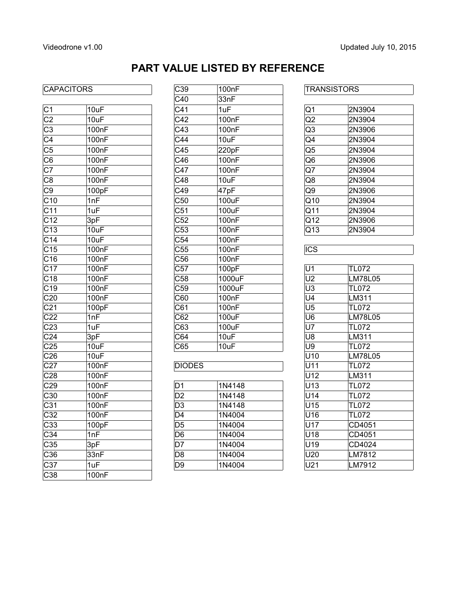# **PART VALUE LISTED BY REFERENCE**

### CAPACITORS C39

|                  |                    | ◡┬◡                     | <b>UU</b> III |                         |                |
|------------------|--------------------|-------------------------|---------------|-------------------------|----------------|
| C <sub>1</sub>   | 10uF               | C <sub>41</sub>         | 1uF           | Q1                      | 2N3904         |
| C <sub>2</sub>   | 10uF               | C42                     | 100nF         | Q2                      | 2N3904         |
| C <sub>3</sub>   | 100nF              | C43                     | 100nF         | Q3                      | 2N3906         |
| C <sub>4</sub>   | 100nF              | C44                     | 10uF          | Q4                      | 2N3904         |
| C <sub>5</sub>   | 100nF              | C45                     | 220pF         | Q5                      | 2N3904         |
| C <sub>6</sub>   | 100nF              | C46                     | 100nF         | Q6                      | 2N3906         |
| C7               | 100 <sub>n</sub> F | C47                     | 100nF         | Q7                      | 2N3904         |
| $\overline{C8}$  | 100nF              | $\overline{C48}$        | 10uF          | $\overline{Q8}$         | 2N3904         |
| C <sub>9</sub>   | 100pF              | C49                     | 47pF          | Q9                      | 2N3906         |
| C10              | 1nF                | C50                     | 100uF         | Q10                     | 2N3904         |
| C <sub>11</sub>  | 1uF                | C <sub>51</sub>         | 100uF         | Q11                     | 2N3904         |
| $\overline{C12}$ | 3pF                | $\overline{C52}$        | 100nF         | Q12                     | 2N3906         |
| $\overline{C13}$ | 10uF               | $\overline{C53}$        | 100nF         | $\overline{Q13}$        | 2N3904         |
| C <sub>14</sub>  | 10uF               | C <sub>54</sub>         | 100nF         |                         |                |
| $\overline{C15}$ | 100nF              | $\overline{C55}$        | 100nF         | $\overline{\text{ICS}}$ |                |
| C16              | 100nF              | C56                     | 100nF         |                         |                |
| $\overline{C17}$ | 100 <sub>nF</sub>  | $\overline{\text{C57}}$ | 100pF         | $\overline{U}$ 1        | <b>TL072</b>   |
| C18              | 100nF              | C58                     | 1000uF        | U <sub>2</sub>          | <b>LM78L05</b> |
| $\overline{C19}$ | 100nF              | $\overline{C59}$        | 1000uF        | $\overline{U3}$         | <b>TL072</b>   |
| C <sub>20</sub>  | 100nF              | $\overline{C60}$        | 100nF         | $\overline{\bigcup}$    | LM311          |
| $\overline{C21}$ | 100pF              | $\overline{\text{C61}}$ | 100nF         | $\overline{U5}$         | <b>TL072</b>   |
| $\overline{C22}$ | 1nF                | $\overline{C62}$        | 100uF         | $\overline{U6}$         | <b>LM78L05</b> |
| C <sub>23</sub>  | 1uF                | $\overline{C63}$        | 100uF         | $\overline{U7}$         | <b>TL072</b>   |
| $\overline{C24}$ | 3pF                | $\overline{C64}$        | 10uF          | U8                      | LM311          |
| $\overline{C25}$ | 10uF               | $\overline{C65}$        | 10uF          | $\overline{U9}$         | <b>TL072</b>   |
| C <sub>26</sub>  | 10uF               |                         |               | $\overline{U10}$        | LM78L05        |
| C <sub>27</sub>  | 100nF              | <b>DIODES</b>           |               | U11                     | <b>TL072</b>   |
| $\overline{C28}$ | 100nF              |                         |               | $\overline{U12}$        | LM311          |
| C <sub>29</sub>  | 100nF              | D1                      | 1N4148        | U13                     | <b>TL072</b>   |
| C30              | 100nF              | D <sub>2</sub>          | 1N4148        | U14                     | <b>TL072</b>   |
| $\overline{C31}$ | 100nF              | D3                      | 1N4148        | $\overline{U15}$        | <b>TL072</b>   |
| C <sub>32</sub>  | 100nF              | D <sub>4</sub>          | 1N4004        | U16                     | <b>TL072</b>   |
| $\overline{C33}$ | 100pF              | $\overline{D5}$         | 1N4004        | U17                     | CD4051         |
| $\overline{C34}$ | 1nF                | D <sub>6</sub>          | 1N4004        | U18                     | CD4051         |
| C35              | 3pF                | D7                      | 1N4004        | U19                     | CD4024         |
| C36              | 33nF               | D <sub>8</sub>          | 1N4004        | U20                     | LM7812         |
| C37              | 1uF                | D <sub>9</sub>          | 1N4004        | U21                     | LM7912         |
| C38              | 100 <sub>n</sub> F |                         |               |                         |                |

| C39               | 100nF              |
|-------------------|--------------------|
| C40               | 33nF               |
| C <sub>41</sub>   | 1uF                |
| C42               | 100nF              |
| C43               | 100nF              |
| C44               | 10uF               |
| C45               | 220pF              |
| C46               | 100nF              |
| C47               | 100nF              |
| $\overline{C}$ 48 | 10uF               |
| C49               | 47pF               |
| C50               | 100uF              |
| $\overline{C51}$  | 100uF              |
| C52               | 100 <sub>n</sub> F |
| $\overline{C53}$  | 100 <sub>n</sub> F |
| $\overline{C54}$  | 100nF              |
| C55               | 100nF              |
| $\overline{C56}$  | 100 <sub>n</sub> F |
| C57               | 100pF              |
| C58               | 1000uF             |
| $\overline{C59}$  | 1000uF             |
| C60               | 100 <sub>n</sub> F |
| $\overline{C61}$  | 100nF              |
| C62               | 100uF              |
| $\overline{C63}$  | 100uF              |
| C64               | 10uF               |
| C65               | 10uF               |
| <b>IDIODES</b>    |                    |

| )1              | 1N4148 |
|-----------------|--------|
| )2              | 1N4148 |
| CC              | 1N4148 |
| $\overline{)4}$ | 1N4004 |
| )5              | 1N4004 |
| 56              | 1N4004 |
| )7              | 1N4004 |
| 58              | 1N4004 |
| 59              | 1N4004 |
|                 |        |

| 2N3904 |  |
|--------|--|
| 2N3904 |  |
| 2N3906 |  |
| 2N3904 |  |
| 2N3904 |  |
| 2N3906 |  |
| 2N3904 |  |
| 2N3904 |  |
| 2N3906 |  |
| 2N3904 |  |
| 2N3904 |  |
| 2N3906 |  |
| 2N3904 |  |
|        |  |

| U1             | <b>TL072</b> |
|----------------|--------------|
| U <sub>2</sub> | LM78L05      |
| U3             | TL072        |
| U4             | LM311        |
| U <sub>5</sub> | <b>TL072</b> |
| U6             | LM78L05      |
| U7             | <b>TL072</b> |
| U8             | LM311        |
| U9             | <b>TL072</b> |
| U10            | LM78L05      |
| U11            | <b>TL072</b> |
| U12            | LM311        |
| U13            | TL072        |
| U14            | <b>TL072</b> |
| U15            | TL072        |
| U16            | TL072        |
| U17            | CD4051       |
| U18            | CD4051       |
| U19            | CD4024       |
| U20            | LM7812       |
| U21            | LM7912       |